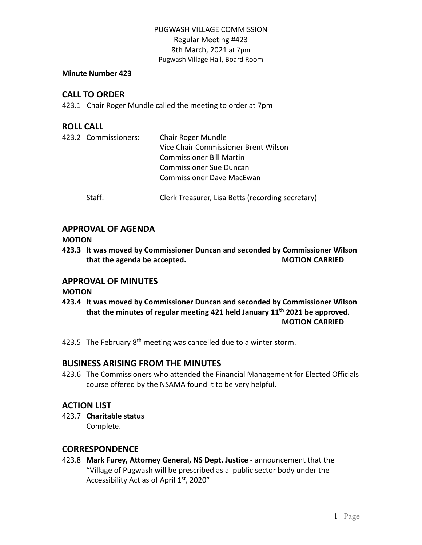#### **Minute Number 423**

## **CALL TO ORDER**

423.1 Chair Roger Mundle called the meeting to order at 7pm

## **ROLL CALL**

|  | 423.2 Commissioners: | Chair Roger Mundle                                |
|--|----------------------|---------------------------------------------------|
|  |                      | Vice Chair Commissioner Brent Wilson              |
|  |                      | <b>Commissioner Bill Martin</b>                   |
|  |                      | <b>Commissioner Sue Duncan</b>                    |
|  |                      | <b>Commissioner Dave MacEwan</b>                  |
|  | Staff:               | Clerk Treasurer, Lisa Betts (recording secretary) |

### **APPROVAL OF AGENDA**

**MOTION**

**423.3 It was moved by Commissioner Duncan and seconded by Commissioner Wilson that the agenda be accepted. MOTION CARRIED**

## **APPROVAL OF MINUTES**

**MOTION**

- **423.4 It was moved by Commissioner Duncan and seconded by Commissioner Wilson that the minutes of regular meeting 421 held January 11th 2021 be approved. MOTION CARRIED**
- 423.5 The February 8<sup>th</sup> meeting was cancelled due to a winter storm.

# **BUSINESS ARISING FROM THE MINUTES**

423.6 The Commissioners who attended the Financial Management for Elected Officials course offered by the NSAMA found it to be very helpful.

# **ACTION LIST**

423.7 **Charitable status** Complete.

### **CORRESPONDENCE**

423.8 **Mark Furey, Attorney General, NS Dept. Justice** - announcement that the "Village of Pugwash will be prescribed as a public sector body under the Accessibility Act as of April 1st, 2020"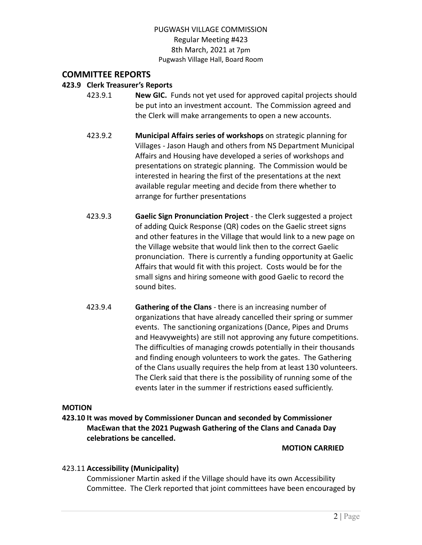## **COMMITTEE REPORTS**

### **423.9 Clerk Treasurer's Reports**

- 423.9.1 **New GIC.** Funds not yet used for approved capital projects should be put into an investment account. The Commission agreed and the Clerk will make arrangements to open a new accounts.
	- 423.9.2 **Municipal Affairs series of workshops** on strategic planning for Villages - Jason Haugh and others from NS Department Municipal Affairs and Housing have developed a series of workshops and presentations on strategic planning. The Commission would be interested in hearing the first of the presentations at the next available regular meeting and decide from there whether to arrange for further presentations
- 423.9.3 **Gaelic Sign Pronunciation Project** the Clerk suggested a project of adding Quick Response (QR) codes on the Gaelic street signs and other features in the Village that would link to a new page on the Village website that would link then to the correct Gaelic pronunciation. There is currently a funding opportunity at Gaelic Affairs that would fit with this project. Costs would be for the small signs and hiring someone with good Gaelic to record the sound bites.
- 423.9.4 **Gathering of the Clans** there is an increasing number of organizations that have already cancelled their spring or summer events. The sanctioning organizations (Dance, Pipes and Drums and Heavyweights) are still not approving any future competitions. The difficulties of managing crowds potentially in their thousands and finding enough volunteers to work the gates. The Gathering of the Clans usually requires the help from at least 130 volunteers. The Clerk said that there is the possibility of running some of the events later in the summer if restrictions eased sufficiently.

#### **MOTION**

**423.10 It was moved by Commissioner Duncan and seconded by Commissioner MacEwan that the 2021 Pugwash Gathering of the Clans and Canada Day celebrations be cancelled.**

**MOTION CARRIED**

#### 423.11 **Accessibility (Municipality)**

Commissioner Martin asked if the Village should have its own Accessibility Committee. The Clerk reported that joint committees have been encouraged by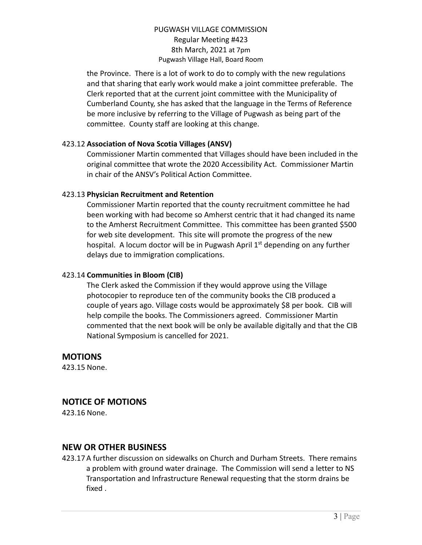the Province. There is a lot of work to do to comply with the new regulations and that sharing that early work would make a joint committee preferable. The Clerk reported that at the current joint committee with the Municipality of Cumberland County, she has asked that the language in the Terms of Reference be more inclusive by referring to the Village of Pugwash as being part of the committee. County staff are looking at this change.

### 423.12 **Association of Nova Scotia Villages (ANSV)**

Commissioner Martin commented that Villages should have been included in the original committee that wrote the 2020 Accessibility Act. Commissioner Martin in chair of the ANSV's Political Action Committee.

### 423.13 **Physician Recruitment and Retention**

Commissioner Martin reported that the county recruitment committee he had been working with had become so Amherst centric that it had changed its name to the Amherst Recruitment Committee. This committee has been granted \$500 for web site development. This site will promote the progress of the new hospital. A locum doctor will be in Pugwash April 1<sup>st</sup> depending on any further delays due to immigration complications.

### 423.14 **Communities in Bloom (CIB)**

The Clerk asked the Commission if they would approve using the Village photocopier to reproduce ten of the community books the CIB produced a couple of years ago. Village costs would be approximately \$8 per book. CIB will help compile the books. The Commissioners agreed. Commissioner Martin commented that the next book will be only be available digitally and that the CIB National Symposium is cancelled for 2021.

### **MOTIONS**

423.15 None.

# **NOTICE OF MOTIONS**

423.16 None.

# **NEW OR OTHER BUSINESS**

423.17A further discussion on sidewalks on Church and Durham Streets. There remains a problem with ground water drainage. The Commission will send a letter to NS Transportation and Infrastructure Renewal requesting that the storm drains be fixed .